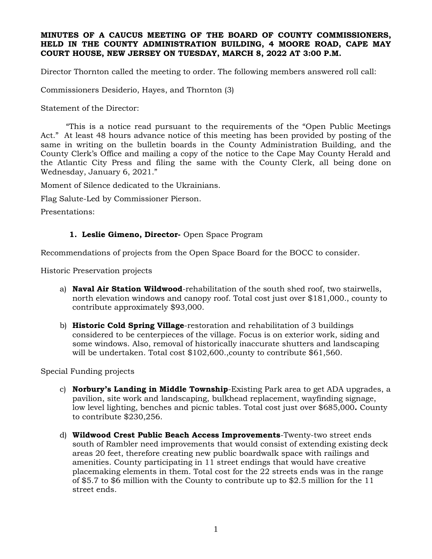### **MINUTES OF A CAUCUS MEETING OF THE BOARD OF COUNTY COMMISSIONERS, HELD IN THE COUNTY ADMINISTRATION BUILDING, 4 MOORE ROAD, CAPE MAY COURT HOUSE, NEW JERSEY ON TUESDAY, MARCH 8, 2022 AT 3:00 P.M.**

Director Thornton called the meeting to order. The following members answered roll call:

Commissioners Desiderio, Hayes, and Thornton (3)

Statement of the Director:

"This is a notice read pursuant to the requirements of the "Open Public Meetings Act." At least 48 hours advance notice of this meeting has been provided by posting of the same in writing on the bulletin boards in the County Administration Building, and the County Clerk's Office and mailing a copy of the notice to the Cape May County Herald and the Atlantic City Press and filing the same with the County Clerk, all being done on Wednesday, January 6, 2021."

Moment of Silence dedicated to the Ukrainians.

Flag Salute-Led by Commissioner Pierson.

Presentations:

### **1. Leslie Gimeno, Director-** Open Space Program

Recommendations of projects from the Open Space Board for the BOCC to consider.

Historic Preservation projects

- a) **Naval Air Station Wildwood**-rehabilitation of the south shed roof, two stairwells, north elevation windows and canopy roof. Total cost just over \$181,000., county to contribute approximately \$93,000.
- b) **Historic Cold Spring Village**-restoration and rehabilitation of 3 buildings considered to be centerpieces of the village. Focus is on exterior work, siding and some windows. Also, removal of historically inaccurate shutters and landscaping will be undertaken. Total cost \$102,600.,county to contribute \$61,560.

Special Funding projects

- c) **Norbury's Landing in Middle Township**-Existing Park area to get ADA upgrades, a pavilion, site work and landscaping, bulkhead replacement, wayfinding signage, low level lighting, benches and picnic tables. Total cost just over \$685,000**.** County to contribute \$230,256.
- d) **Wildwood Crest Public Beach Access Improvements**-Twenty-two street ends south of Rambler need improvements that would consist of extending existing deck areas 20 feet, therefore creating new public boardwalk space with railings and amenities. County participating in 11 street endings that would have creative placemaking elements in them. Total cost for the 22 streets ends was in the range of \$5.7 to \$6 million with the County to contribute up to \$2.5 million for the 11 street ends.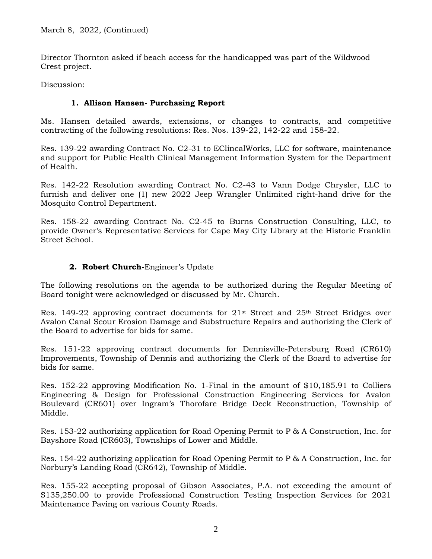Director Thornton asked if beach access for the handicapped was part of the Wildwood Crest project.

Discussion:

### **1. Allison Hansen- Purchasing Report**

Ms. Hansen detailed awards, extensions, or changes to contracts, and competitive contracting of the following resolutions: Res. Nos. 139-22, 142-22 and 158-22.

Res. 139-22 awarding Contract No. C2-31 to EClincalWorks, LLC for software, maintenance and support for Public Health Clinical Management Information System for the Department of Health.

Res. 142-22 Resolution awarding Contract No. C2-43 to Vann Dodge Chrysler, LLC to furnish and deliver one (1) new 2022 Jeep Wrangler Unlimited right-hand drive for the Mosquito Control Department.

Res. 158-22 awarding Contract No. C2-45 to Burns Construction Consulting, LLC, to provide Owner's Representative Services for Cape May City Library at the Historic Franklin Street School.

### **2. Robert Church-**Engineer's Update

The following resolutions on the agenda to be authorized during the Regular Meeting of Board tonight were acknowledged or discussed by Mr. Church.

Res. 149-22 approving contract documents for  $21^{st}$  Street and  $25^{th}$  Street Bridges over Avalon Canal Scour Erosion Damage and Substructure Repairs and authorizing the Clerk of the Board to advertise for bids for same.

Res. 151-22 approving contract documents for Dennisville-Petersburg Road (CR610) Improvements, Township of Dennis and authorizing the Clerk of the Board to advertise for bids for same.

Res. 152-22 approving Modification No. 1-Final in the amount of \$10,185.91 to Colliers Engineering & Design for Professional Construction Engineering Services for Avalon Boulevard (CR601) over Ingram's Thorofare Bridge Deck Reconstruction, Township of Middle.

Res. 153-22 authorizing application for Road Opening Permit to P & A Construction, Inc. for Bayshore Road (CR603), Townships of Lower and Middle.

Res. 154-22 authorizing application for Road Opening Permit to P & A Construction, Inc. for Norbury's Landing Road (CR642), Township of Middle.

Res. 155-22 accepting proposal of Gibson Associates, P.A. not exceeding the amount of \$135,250.00 to provide Professional Construction Testing Inspection Services for 2021 Maintenance Paving on various County Roads.